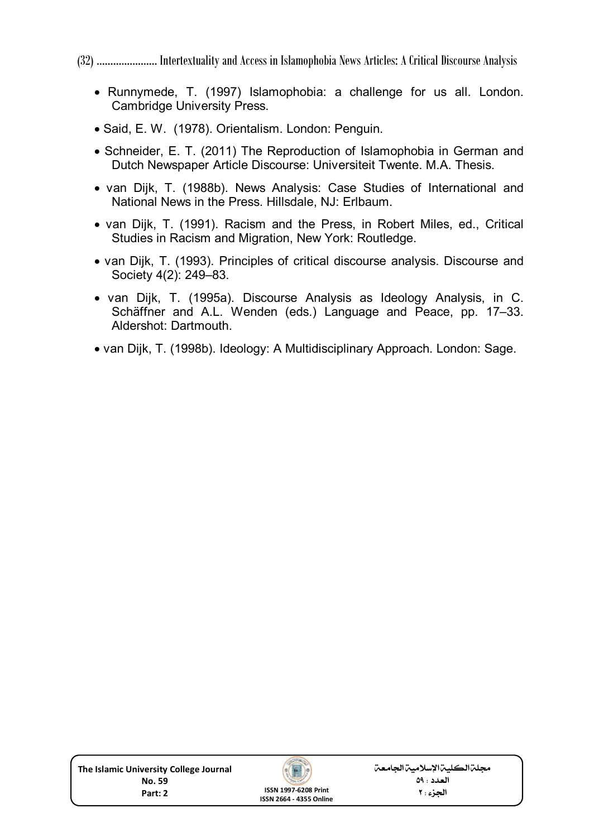(32) …………….…… Intertextuality and Access in Islamophobia News Articles: A Critical Discourse Analysis

- Runnymede, T. (1997) Islamophobia: a challenge for us all. London. Cambridge University Press.
- Said, E. W. (1978). Orientalism. London: Penguin.
- Schneider, E. T. (2011) The Reproduction of Islamophobia in German and Dutch Newspaper Article Discourse: Universiteit Twente. M.A. Thesis.
- van Dijk, T. (1988b). News Analysis: Case Studies of International and National News in the Press. Hillsdale, NJ: Erlbaum.
- van Dijk, T. (1991). Racism and the Press, in Robert Miles, ed., Critical Studies in Racism and Migration, New York: Routledge.
- van Dijk, T. (1993). Principles of critical discourse analysis. Discourse and Society 4(2): 249–83.
- van Dijk, T. (1995a). Discourse Analysis as Ideology Analysis, in C. Schäffner and A.L. Wenden (eds.) Language and Peace, pp. 17–33. Aldershot: Dartmouth.
- van Dijk, T. (1998b). Ideology: A Multidisciplinary Approach. London: Sage.

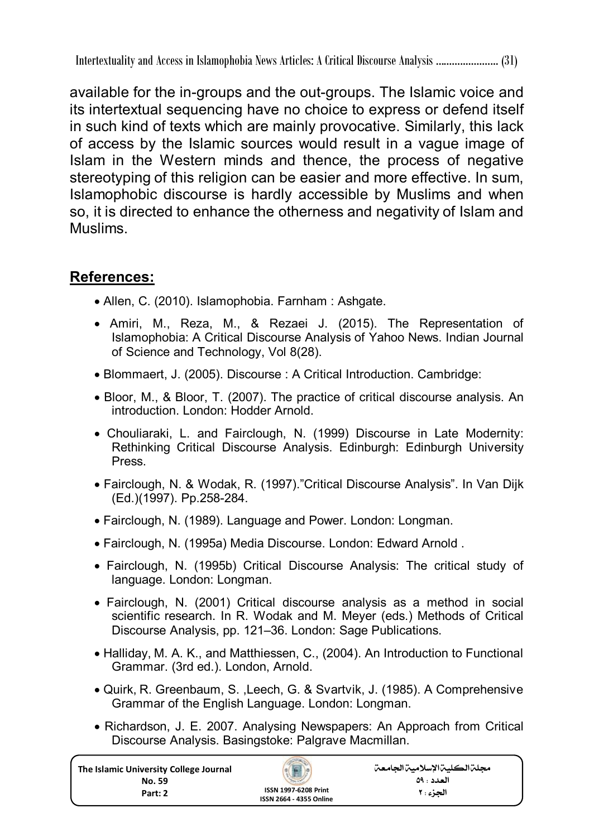Intertextuality and Access in Islamophobia News Articles: A Critical Discourse Analysis ………..………... (31)

available for the in-groups and the out-groups. The Islamic voice and its intertextual sequencing have no choice to express or defend itself in such kind of texts which are mainly provocative. Similarly, this lack of access by the Islamic sources would result in a vague image of Islam in the Western minds and thence, the process of negative stereotyping of this religion can be easier and more effective. In sum, Islamophobic discourse is hardly accessible by Muslims and when so, it is directed to enhance the otherness and negativity of Islam and Muslims.

#### **References:**

- Allen, C. (2010). Islamophobia. Farnham : Ashgate.
- Amiri, M., Reza, M., & Rezaei J. (2015). The Representation of Islamophobia: A Critical Discourse Analysis of Yahoo News. Indian Journal of Science and Technology, Vol 8(28).
- Blommaert, J. (2005). Discourse : A Critical Introduction. Cambridge:
- Bloor, M., & Bloor, T. (2007). The practice of critical discourse analysis. An introduction. London: Hodder Arnold.
- Chouliaraki, L. and Fairclough, N. (1999) Discourse in Late Modernity: Rethinking Critical Discourse Analysis. Edinburgh: Edinburgh University Press.
- Fairclough, N. & Wodak, R. (1997)."Critical Discourse Analysis". In Van Dijk (Ed.)(1997). Pp.258-284.
- Fairclough, N. (1989). Language and Power. London: Longman.
- Fairclough, N. (1995a) Media Discourse. London: Edward Arnold .
- Fairclough, N. (1995b) Critical Discourse Analysis: The critical study of language. London: Longman.
- Fairclough, N. (2001) Critical discourse analysis as a method in social scientific research. In R. Wodak and M. Meyer (eds.) Methods of Critical Discourse Analysis, pp. 121–36. London: Sage Publications.
- Halliday, M. A. K., and Matthiessen, C., (2004). An Introduction to Functional Grammar. (3rd ed.). London, Arnold.
- Quirk, R. Greenbaum, S. ,Leech, G. & Svartvik, J. (1985). A Comprehensive Grammar of the English Language. London: Longman.
- Richardson, J. E. 2007. Analysing Newspapers: An Approach from Critical Discourse Analysis. Basingstoke: Palgrave Macmillan.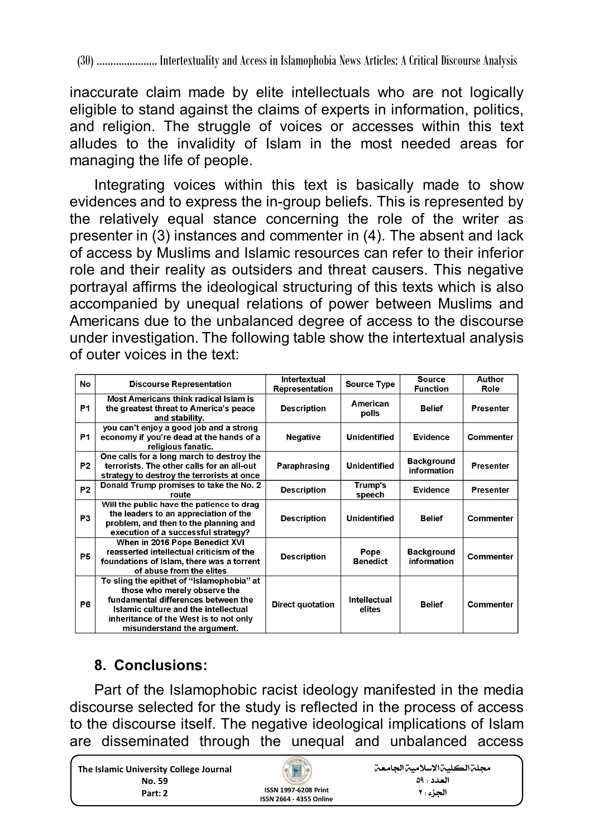(30) …………….…… Intertextuality and Access in Islamophobia News Articles: A Critical Discourse Analysis

inaccurate claim made by elite intellectuals who are not logically eligible to stand against the claims of experts in information, politics, and religion. The struggle of voices or accesses within this text alludes to the invalidity of Islam in the most needed areas for managing the life of people.

Integrating voices within this text is basically made to show evidences and to express the in-group beliefs. This is represented by the relatively equal stance concerning the role of the writer as presenter in (3) instances and commenter in (4). The absent and lack of access by Muslims and Islamic resources can refer to their inferior role and their reality as outsiders and threat causers. This negative portrayal affirms the ideological structuring of this texts which is also accompanied by unequal relations of power between Muslims and Americans due to the unbalanced degree of access to the discourse under investigation. The following table show the intertextual analysis of outer voices in the text:

| <b>No</b>      | <b>Discourse Representation</b>                                                                                                                                                                                                   | Intertextual<br>Representation | <b>Source Type</b>      | Source<br><b>Function</b>        | Author<br>Role   |
|----------------|-----------------------------------------------------------------------------------------------------------------------------------------------------------------------------------------------------------------------------------|--------------------------------|-------------------------|----------------------------------|------------------|
| <b>P1</b>      | Most Americans think radical Islam is<br>the greatest threat to America's peace<br>and stability.                                                                                                                                 | <b>Description</b>             | American<br>polls       | <b>Belief</b>                    | <b>Presenter</b> |
| <b>P1</b>      | you can't enjoy a good job and a strong<br>economy if you're dead at the hands of a<br>religious fanatic.                                                                                                                         | Negative                       | <b>Unidentified</b>     | Evidence                         | Commenter        |
| <b>P2</b>      | One calls for a long march to destroy the<br>terrorists. The other calls for an all-out<br>strategy to destroy the terrorists at once                                                                                             | Paraphrasing                   | <b>Unidentified</b>     | <b>Background</b><br>information | <b>Presenter</b> |
| P <sub>2</sub> | Donald Trump promises to take the No. 2<br>route                                                                                                                                                                                  | <b>Description</b>             | Trump's<br>speech       | Evidence                         | <b>Presenter</b> |
| P <sub>3</sub> | Will the public have the patience to drag<br>the leaders to an appreciation of the<br>problem, and then to the planning and<br>execution of a successful strategy?                                                                | <b>Description</b>             | <b>Unidentified</b>     | <b>Belief</b>                    | Commenter        |
| <b>P5</b>      | When in 2016 Pope Benedict XVI<br>reasserted intellectual criticism of the<br>foundations of Islam, there was a torrent<br>of abuse from the elites                                                                               | <b>Description</b>             | Pope<br><b>Benedict</b> | <b>Background</b><br>information | Commenter        |
| P6             | To sling the epithet of "Islamophobia" at<br>those who merely observe the<br>fundamental differences between the<br>Islamic culture and the intellectual<br>inheritance of the West is to not only<br>misunderstand the argument. | Direct quotation               | Intellectual<br>elites  | <b>Belief</b>                    | Commenter        |

#### **8. Conclusions:**

Part of the Islamophobic racist ideology manifested in the media discourse selected for the study is reflected in the process of access to the discourse itself. The negative ideological implications of Islam are disseminated through the unequal and unbalanced access

| The Islamic University College Journal |                                                 | مجلن الكلين الإسلامين الجامعن |
|----------------------------------------|-------------------------------------------------|-------------------------------|
| No. 59                                 |                                                 | العدد ٥٩                      |
| Part: 2                                | ISSN 1997-6208 Print<br>ISSN 2664 - 4355 Online | الجزء : 2                     |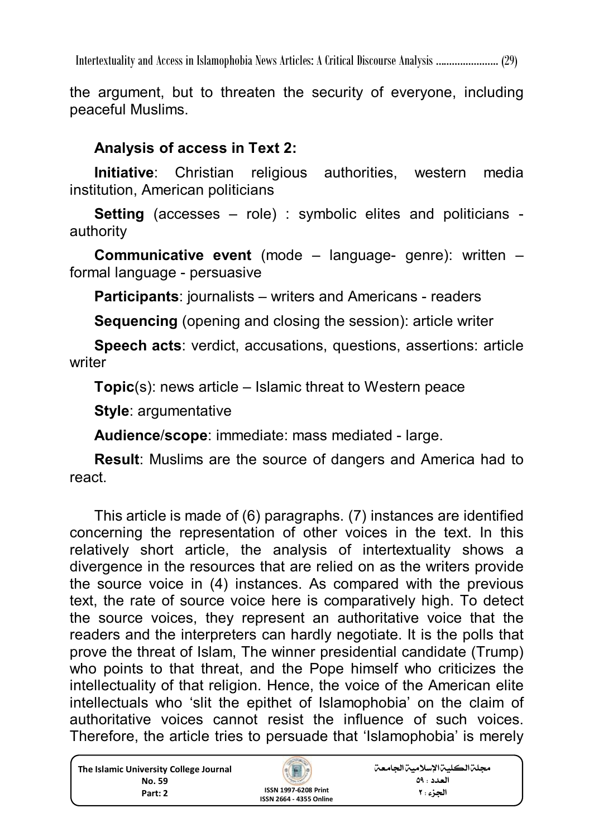Intertextuality and Access in Islamophobia News Articles: A Critical Discourse Analysis ………..………... (29)

the argument, but to threaten the security of everyone, including peaceful Muslims.

#### **Analysis of access in Text 2:**

**Initiative**: Christian religious authorities, western media institution, American politicians

**Setting** (accesses – role) : symbolic elites and politicians authority

**Communicative event** (mode – language- genre): written – formal language - persuasive

**Participants**: journalists – writers and Americans - readers

**Sequencing** (opening and closing the session): article writer

**Speech acts**: verdict, accusations, questions, assertions: article writer

**Topic**(s): news article – Islamic threat to Western peace

**Style**: argumentative

**Audience**/**scope**: immediate: mass mediated - large.

**Result**: Muslims are the source of dangers and America had to react.

This article is made of (6) paragraphs. (7) instances are identified concerning the representation of other voices in the text. In this relatively short article, the analysis of intertextuality shows a divergence in the resources that are relied on as the writers provide the source voice in (4) instances. As compared with the previous text, the rate of source voice here is comparatively high. To detect the source voices, they represent an authoritative voice that the readers and the interpreters can hardly negotiate. It is the polls that prove the threat of Islam, The winner presidential candidate (Trump) who points to that threat, and the Pope himself who criticizes the intellectuality of that religion. Hence, the voice of the American elite intellectuals who 'slit the epithet of Islamophobia' on the claim of authoritative voices cannot resist the influence of such voices. Therefore, the article tries to persuade that 'Islamophobia' is merely

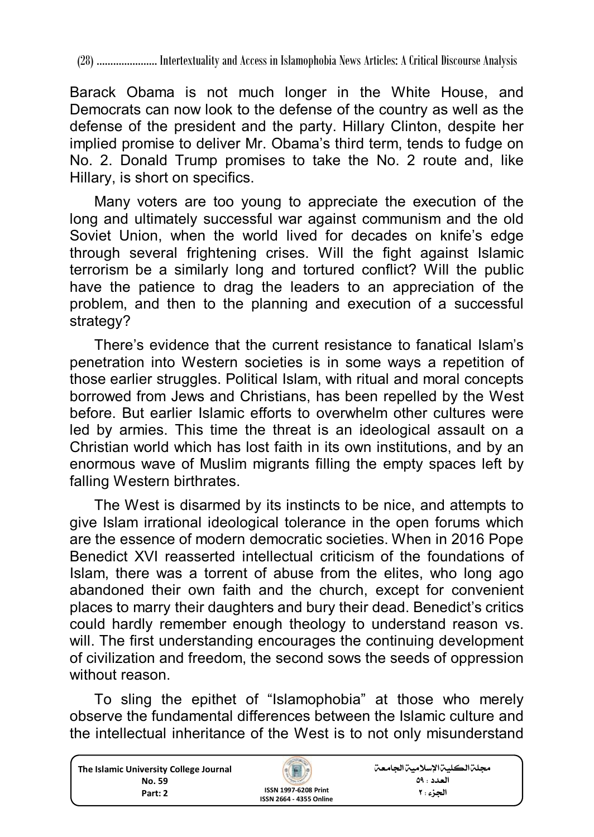(28) …………….…… Intertextuality and Access in Islamophobia News Articles: A Critical Discourse Analysis

Barack Obama is not much longer in the White House, and Democrats can now look to the defense of the country as well as the defense of the president and the party. Hillary Clinton, despite her implied promise to deliver Mr. Obama's third term, tends to fudge on No. 2. Donald Trump promises to take the No. 2 route and, like Hillary, is short on specifics.

Many voters are too young to appreciate the execution of the long and ultimately successful war against communism and the old Soviet Union, when the world lived for decades on knife's edge through several frightening crises. Will the fight against Islamic terrorism be a similarly long and tortured conflict? Will the public have the patience to drag the leaders to an appreciation of the problem, and then to the planning and execution of a successful strategy?

There's evidence that the current resistance to fanatical Islam's penetration into Western societies is in some ways a repetition of those earlier struggles. Political Islam, with ritual and moral concepts borrowed from Jews and Christians, has been repelled by the West before. But earlier Islamic efforts to overwhelm other cultures were led by armies. This time the threat is an ideological assault on a Christian world which has lost faith in its own institutions, and by an enormous wave of Muslim migrants filling the empty spaces left by falling Western birthrates.

The West is disarmed by its instincts to be nice, and attempts to give Islam irrational ideological tolerance in the open forums which are the essence of modern democratic societies. When in 2016 Pope Benedict XVI reasserted intellectual criticism of the foundations of Islam, there was a torrent of abuse from the elites, who long ago abandoned their own faith and the church, except for convenient places to marry their daughters and bury their dead. Benedict's critics could hardly remember enough theology to understand reason vs. will. The first understanding encourages the continuing development of civilization and freedom, the second sows the seeds of oppression without reason.

To sling the epithet of "Islamophobia" at those who merely observe the fundamental differences between the Islamic culture and the intellectual inheritance of the West is to not only misunderstand

| The Islamic University College Journal |                                                 | مجلن الكلىن الإسلامين الجامعن |
|----------------------------------------|-------------------------------------------------|-------------------------------|
| No. 59                                 |                                                 | العدد : ٥٩                    |
| Part: 2                                | ISSN 1997-6208 Print<br>ISSN 2664 - 4355 Online | الجزء : ٢                     |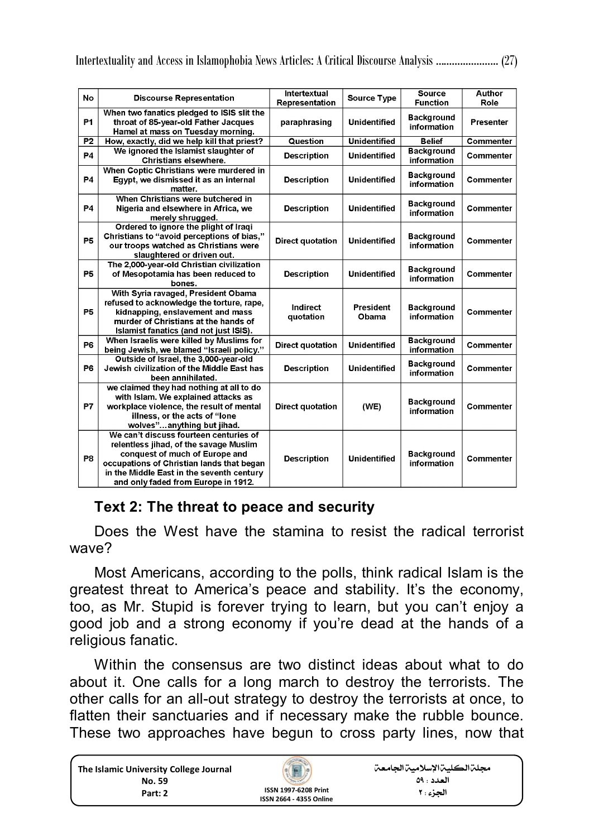| <b>No</b>      | <b>Discourse Representation</b>                                                                                                                                                                                                                     | Intertextual            | <b>Source Type</b>  | Source                           | Author           |
|----------------|-----------------------------------------------------------------------------------------------------------------------------------------------------------------------------------------------------------------------------------------------------|-------------------------|---------------------|----------------------------------|------------------|
|                |                                                                                                                                                                                                                                                     | Representation          |                     | <b>Function</b>                  | Role             |
| <b>P1</b>      | When two fanatics pledged to ISIS slit the<br>throat of 85-year-old Father Jacques<br>Hamel at mass on Tuesday morning.                                                                                                                             | paraphrasing            | <b>Unidentified</b> | <b>Background</b><br>information | Presenter        |
| P <sub>2</sub> | How, exactly, did we help kill that priest?                                                                                                                                                                                                         | Question                | <b>Unidentified</b> | <b>Belief</b>                    | Commenter        |
| <b>P4</b>      | We ignored the Islamist slaughter of<br>Christians elsewhere.                                                                                                                                                                                       | <b>Description</b>      | <b>Unidentified</b> | <b>Background</b><br>information | Commenter        |
| <b>P4</b>      | When Coptic Christians were murdered in<br>Eqypt, we dismissed it as an internal<br>matter.                                                                                                                                                         | <b>Description</b>      | <b>Unidentified</b> | <b>Background</b><br>information | <b>Commenter</b> |
| P <sub>4</sub> | When Christians were butchered in<br>Nigeria and elsewhere in Africa, we<br>merely shrugged.                                                                                                                                                        | <b>Description</b>      | <b>Unidentified</b> | <b>Background</b><br>information | Commenter        |
| <b>P5</b>      | Ordered to ignore the plight of Iragi<br>Christians to "avoid perceptions of bias,"<br>our troops watched as Christians were<br>slaughtered or driven out.                                                                                          | <b>Direct quotation</b> | <b>Unidentified</b> | <b>Background</b><br>information | Commenter        |
| P <sub>5</sub> | The 2,000-year-old Christian civilization<br>of Mesopotamia has been reduced to<br>bones.                                                                                                                                                           | <b>Description</b>      | <b>Unidentified</b> | <b>Background</b><br>information | Commenter        |
| <b>P5</b>      | With Syria ravaged, President Obama<br>refused to acknowledge the torture, rape,<br>kidnapping, enslavement and mass<br>murder of Christians at the hands of<br>Islamist fanatics (and not just ISIS).                                              | Indirect<br>quotation   | President<br>Obama  | <b>Background</b><br>information | Commenter        |
| P6             | When Israelis were killed by Muslims for<br>being Jewish, we blamed "Israeli policy."                                                                                                                                                               | <b>Direct quotation</b> | <b>Unidentified</b> | <b>Background</b><br>information | Commenter        |
| P6             | Outside of Israel, the 3,000-year-old<br>Jewish civilization of the Middle East has<br>been annihilated.                                                                                                                                            | <b>Description</b>      | <b>Unidentified</b> | <b>Background</b><br>information | Commenter        |
| P7             | we claimed they had nothing at all to do<br>with Islam. We explained attacks as<br>workplace violence, the result of mental<br>illness, or the acts of "lone<br>wolves"anything but jihad.                                                          | <b>Direct quotation</b> | (WE)                | <b>Background</b><br>information | Commenter        |
| P <sub>8</sub> | We can't discuss fourteen centuries of<br>relentless jihad, of the savage Muslim<br>conquest of much of Europe and<br>occupations of Christian lands that began<br>in the Middle East in the seventh century<br>and only faded from Europe in 1912. | <b>Description</b>      | <b>Unidentified</b> | <b>Background</b><br>information | Commenter        |

#### **Text 2: The threat to peace and security**

Does the West have the stamina to resist the radical terrorist wave?

Most Americans, according to the polls, think radical Islam is the greatest threat to America's peace and stability. It's the economy, too, as Mr. Stupid is forever trying to learn, but you can't enjoy a good job and a strong economy if you're dead at the hands of a religious fanatic.

Within the consensus are two distinct ideas about what to do about it. One calls for a long march to destroy the terrorists. The other calls for an all-out strategy to destroy the terrorists at once, to flatten their sanctuaries and if necessary make the rubble bounce. These two approaches have begun to cross party lines, now that

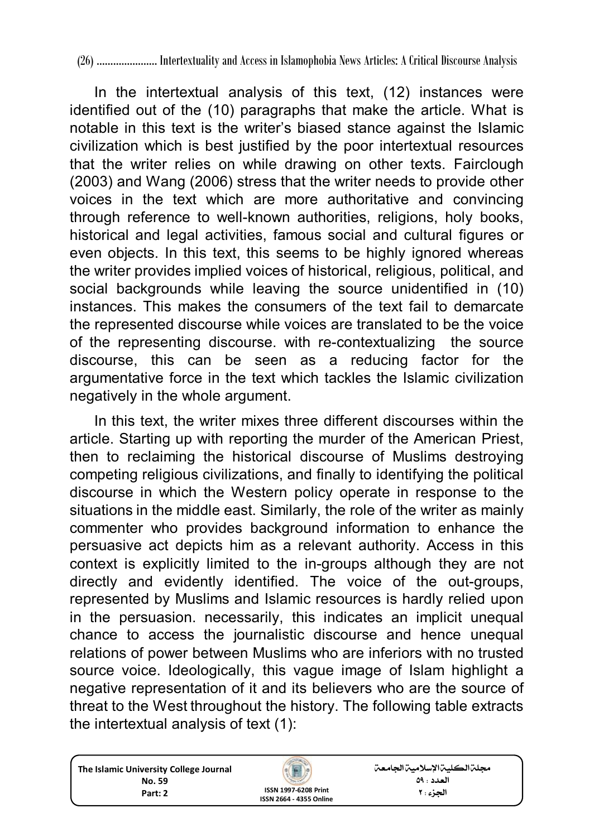(26) …………….…… Intertextuality and Access in Islamophobia News Articles: A Critical Discourse Analysis

In the intertextual analysis of this text, (12) instances were identified out of the (10) paragraphs that make the article. What is notable in this text is the writer's biased stance against the Islamic civilization which is best justified by the poor intertextual resources that the writer relies on while drawing on other texts. Fairclough (2003) and Wang (2006) stress that the writer needs to provide other voices in the text which are more authoritative and convincing through reference to well-known authorities, religions, holy books, historical and legal activities, famous social and cultural figures or even objects. In this text, this seems to be highly ignored whereas the writer provides implied voices of historical, religious, political, and social backgrounds while leaving the source unidentified in (10) instances. This makes the consumers of the text fail to demarcate the represented discourse while voices are translated to be the voice of the representing discourse. with re-contextualizing the source discourse, this can be seen as a reducing factor for the argumentative force in the text which tackles the Islamic civilization negatively in the whole argument.

In this text, the writer mixes three different discourses within the article. Starting up with reporting the murder of the American Priest, then to reclaiming the historical discourse of Muslims destroying competing religious civilizations, and finally to identifying the political discourse in which the Western policy operate in response to the situations in the middle east. Similarly, the role of the writer as mainly commenter who provides background information to enhance the persuasive act depicts him as a relevant authority. Access in this context is explicitly limited to the in-groups although they are not directly and evidently identified. The voice of the out-groups, represented by Muslims and Islamic resources is hardly relied upon in the persuasion. necessarily, this indicates an implicit unequal chance to access the journalistic discourse and hence unequal relations of power between Muslims who are inferiors with no trusted source voice. Ideologically, this vague image of Islam highlight a negative representation of it and its believers who are the source of threat to the West throughout the history. The following table extracts the intertextual analysis of text (1):

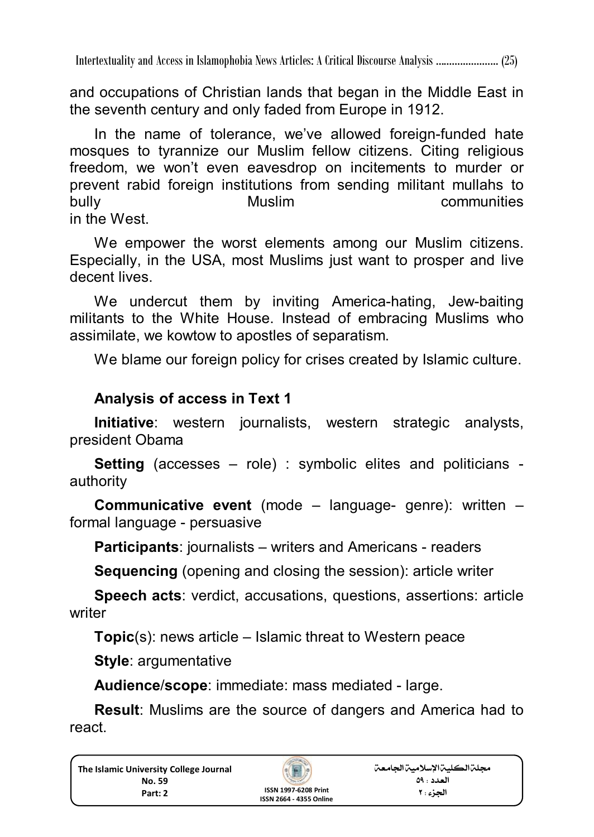Intertextuality and Access in Islamophobia News Articles: A Critical Discourse Analysis ………..………... (25)

and occupations of Christian lands that began in the Middle East in the seventh century and only faded from Europe in 1912.

In the name of tolerance, we've allowed foreign-funded hate mosques to tyrannize our Muslim fellow citizens. Citing religious freedom, we won't even eavesdrop on incitements to murder or prevent rabid foreign institutions from sending militant mullahs to bully **Muslim Communities** in the West.

We empower the worst elements among our Muslim citizens. Especially, in the USA, most Muslims just want to prosper and live decent lives.

We undercut them by inviting America-hating, Jew-baiting militants to the White House. Instead of embracing Muslims who assimilate, we kowtow to apostles of separatism.

We blame our foreign policy for crises created by Islamic culture.

#### **Analysis of access in Text 1**

**Initiative**: western journalists, western strategic analysts, president Obama

**Setting** (accesses – role) : symbolic elites and politicians authority

**Communicative event** (mode – language- genre): written – formal language - persuasive

**Participants**: journalists – writers and Americans - readers

**Sequencing** (opening and closing the session): article writer

**Speech acts**: verdict, accusations, questions, assertions: article writer

**Topic**(s): news article – Islamic threat to Western peace

**Style**: argumentative

**Audience**/**scope**: immediate: mass mediated - large.

**Result**: Muslims are the source of dangers and America had to react.

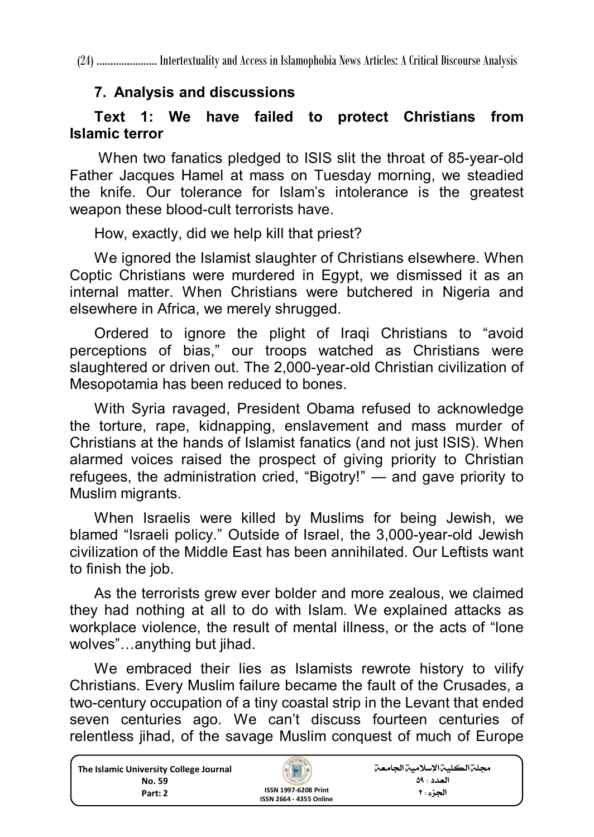(24) …………….…… Intertextuality and Access in Islamophobia News Articles: A Critical Discourse Analysis

#### **7. Analysis and discussions**

#### **Text 1: We have failed to protect Christians from Islamic terror**

When two fanatics pledged to ISIS slit the throat of 85-year-old Father Jacques Hamel at mass on Tuesday morning, we steadied the knife. Our tolerance for Islam's intolerance is the greatest weapon these blood-cult terrorists have.

How, exactly, did we help kill that priest?

We ignored the Islamist slaughter of Christians elsewhere. When Coptic Christians were murdered in Egypt, we dismissed it as an internal matter. When Christians were butchered in Nigeria and elsewhere in Africa, we merely shrugged.

Ordered to ignore the plight of Iraqi Christians to "avoid perceptions of bias," our troops watched as Christians were slaughtered or driven out. The 2,000-year-old Christian civilization of Mesopotamia has been reduced to bones.

With Syria ravaged, President Obama refused to acknowledge the torture, rape, kidnapping, enslavement and mass murder of Christians at the hands of Islamist fanatics (and not just ISIS). When alarmed voices raised the prospect of giving priority to Christian refugees, the administration cried, "Bigotry!" — and gave priority to Muslim migrants.

When Israelis were killed by Muslims for being Jewish, we blamed "Israeli policy." Outside of Israel, the 3,000-year-old Jewish civilization of the Middle East has been annihilated. Our Leftists want to finish the job.

As the terrorists grew ever bolder and more zealous, we claimed they had nothing at all to do with Islam. We explained attacks as workplace violence, the result of mental illness, or the acts of "lone wolves"…anything but jihad.

We embraced their lies as Islamists rewrote history to vilify Christians. Every Muslim failure became the fault of the Crusades, a two-century occupation of a tiny coastal strip in the Levant that ended seven centuries ago. We can't discuss fourteen centuries of relentless jihad, of the savage Muslim conquest of much of Europe

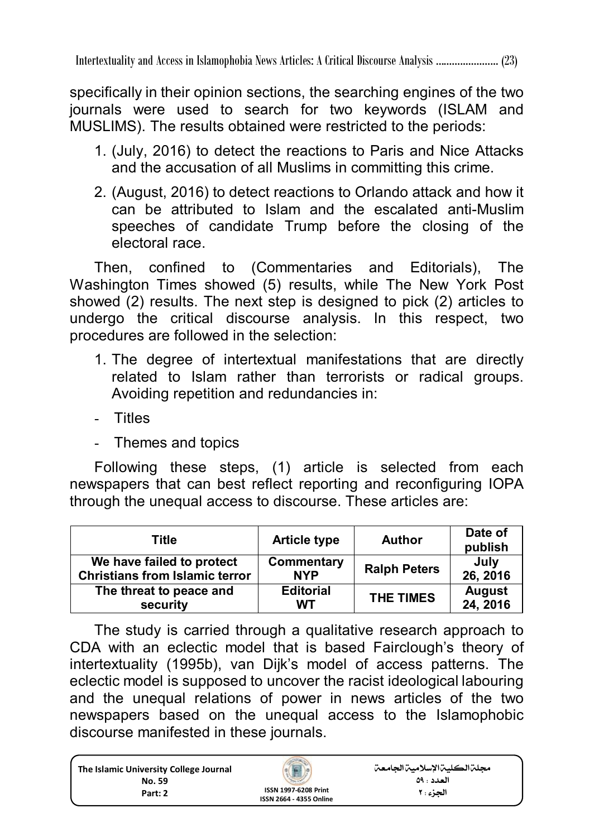specifically in their opinion sections, the searching engines of the two journals were used to search for two keywords (ISLAM and MUSLIMS). The results obtained were restricted to the periods:

- 1. (July, 2016) to detect the reactions to Paris and Nice Attacks and the accusation of all Muslims in committing this crime.
- 2. (August, 2016) to detect reactions to Orlando attack and how it can be attributed to Islam and the escalated anti-Muslim speeches of candidate Trump before the closing of the electoral race.

Then, confined to (Commentaries and Editorials), The Washington Times showed (5) results, while The New York Post showed (2) results. The next step is designed to pick (2) articles to undergo the critical discourse analysis. In this respect, two procedures are followed in the selection:

- 1. The degree of intertextual manifestations that are directly related to Islam rather than terrorists or radical groups. Avoiding repetition and redundancies in:
- Titles
- Themes and topics

Following these steps, (1) article is selected from each newspapers that can best reflect reporting and reconfiguring IOPA through the unequal access to discourse. These articles are:

| Title                                 | <b>Article type</b> | <b>Author</b>       | Date of<br>publish |
|---------------------------------------|---------------------|---------------------|--------------------|
| We have failed to protect             | Commentary          | <b>Ralph Peters</b> | July               |
| <b>Christians from Islamic terror</b> | <b>NYP</b>          |                     | 26, 2016           |
| The threat to peace and               | <b>Editorial</b>    | <b>THE TIMES</b>    | <b>August</b>      |
| security                              | WТ                  |                     | 24, 2016           |

The study is carried through a qualitative research approach to CDA with an eclectic model that is based Fairclough's theory of intertextuality (1995b), van Dijk's model of access patterns. The eclectic model is supposed to uncover the racist ideological labouring and the unequal relations of power in news articles of the two newspapers based on the unequal access to the Islamophobic discourse manifested in these journals.

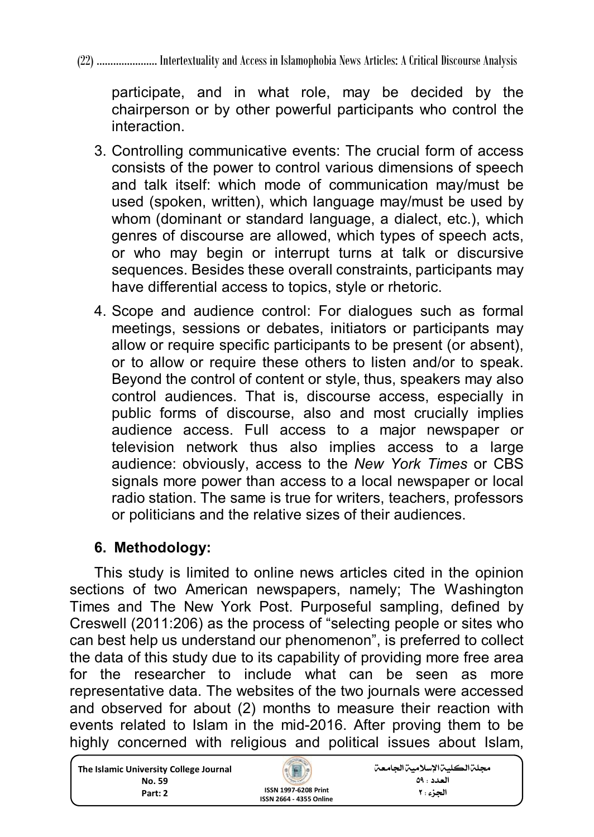(22) …………….…… Intertextuality and Access in Islamophobia News Articles: A Critical Discourse Analysis

participate, and in what role, may be decided by the chairperson or by other powerful participants who control the interaction.

- 3. Controlling communicative events: The crucial form of access consists of the power to control various dimensions of speech and talk itself: which mode of communication may/must be used (spoken, written), which language may/must be used by whom (dominant or standard language, a dialect, etc.), which genres of discourse are allowed, which types of speech acts, or who may begin or interrupt turns at talk or discursive sequences. Besides these overall constraints, participants may have differential access to topics, style or rhetoric.
- 4. Scope and audience control: For dialogues such as formal meetings, sessions or debates, initiators or participants may allow or require specific participants to be present (or absent), or to allow or require these others to listen and/or to speak. Beyond the control of content or style, thus, speakers may also control audiences. That is, discourse access, especially in public forms of discourse, also and most crucially implies audience access. Full access to a major newspaper or television network thus also implies access to a large audience: obviously, access to the *New York Times* or CBS signals more power than access to a local newspaper or local radio station. The same is true for writers, teachers, professors or politicians and the relative sizes of their audiences.

#### **6. Methodology:**

This study is limited to online news articles cited in the opinion sections of two American newspapers, namely; The Washington Times and The New York Post. Purposeful sampling, defined by Creswell (2011:206) as the process of "selecting people or sites who can best help us understand our phenomenon", is preferred to collect the data of this study due to its capability of providing more free area for the researcher to include what can be seen as more representative data. The websites of the two journals were accessed and observed for about (2) months to measure their reaction with events related to Islam in the mid-2016. After proving them to be highly concerned with religious and political issues about Islam,

| L<br>The Islamic University College Journal |
|---------------------------------------------|
| No. 59                                      |
| Part: 2                                     |

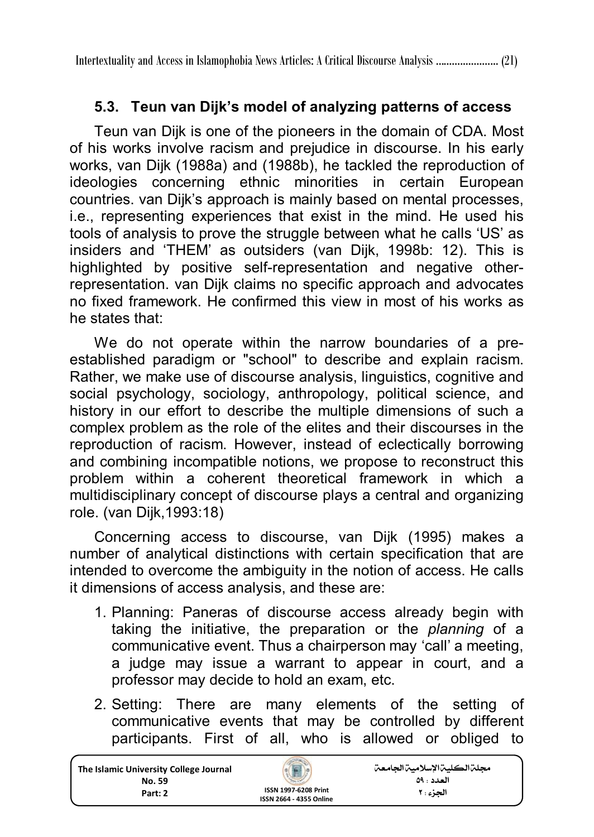Intertextuality and Access in Islamophobia News Articles: A Critical Discourse Analysis ………..………... (21)

#### **5.3. Teun van Dijk's model of analyzing patterns of access**

Teun van Dijk is one of the pioneers in the domain of CDA. Most of his works involve racism and prejudice in discourse. In his early works, van Dijk (1988a) and (1988b), he tackled the reproduction of ideologies concerning ethnic minorities in certain European countries. van Dijk's approach is mainly based on mental processes, i.e., representing experiences that exist in the mind. He used his tools of analysis to prove the struggle between what he calls 'US' as insiders and 'THEM' as outsiders (van Dijk, 1998b: 12). This is highlighted by positive self-representation and negative otherrepresentation. van Dijk claims no specific approach and advocates no fixed framework. He confirmed this view in most of his works as he states that:

We do not operate within the narrow boundaries of a preestablished paradigm or "school" to describe and explain racism. Rather, we make use of discourse analysis, linguistics, cognitive and social psychology, sociology, anthropology, political science, and history in our effort to describe the multiple dimensions of such a complex problem as the role of the elites and their discourses in the reproduction of racism. However, instead of eclectically borrowing and combining incompatible notions, we propose to reconstruct this problem within a coherent theoretical framework in which a multidisciplinary concept of discourse plays a central and organizing role. (van Dijk,1993:18)

Concerning access to discourse, van Dijk (1995) makes a number of analytical distinctions with certain specification that are intended to overcome the ambiguity in the notion of access. He calls it dimensions of access analysis, and these are:

- 1. Planning: Paneras of discourse access already begin with taking the initiative, the preparation or the *planning* of a communicative event. Thus a chairperson may 'call' a meeting, a judge may issue a warrant to appear in court, and a professor may decide to hold an exam, etc.
- 2. Setting: There are many elements of the setting of communicative events that may be controlled by different participants. First of all, who is allowed or obliged to

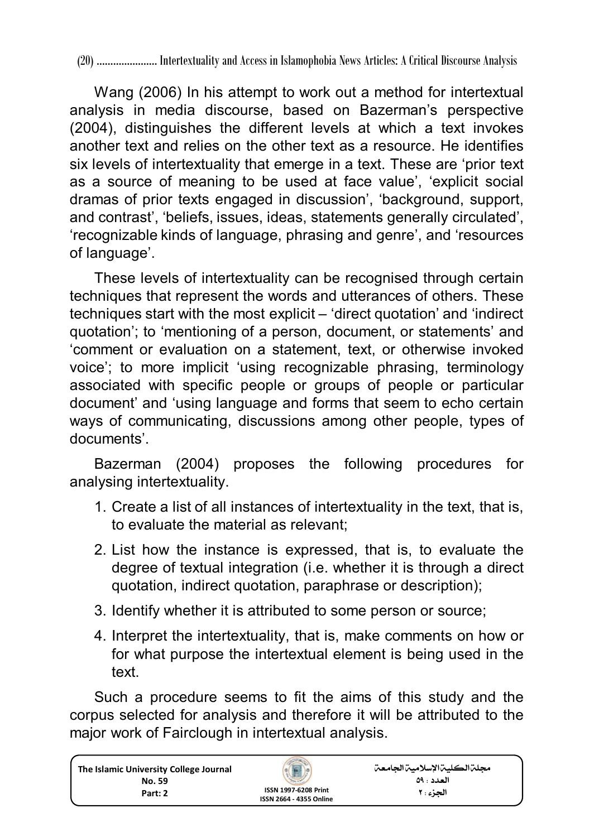(20) …………….…… Intertextuality and Access in Islamophobia News Articles: A Critical Discourse Analysis

Wang (2006) In his attempt to work out a method for intertextual analysis in media discourse, based on Bazerman's perspective (2004), distinguishes the different levels at which a text invokes another text and relies on the other text as a resource. He identifies six levels of intertextuality that emerge in a text. These are 'prior text as a source of meaning to be used at face value', 'explicit social dramas of prior texts engaged in discussion', 'background, support, and contrast', 'beliefs, issues, ideas, statements generally circulated', 'recognizable kinds of language, phrasing and genre', and 'resources of language'.

These levels of intertextuality can be recognised through certain techniques that represent the words and utterances of others. These techniques start with the most explicit – 'direct quotation' and 'indirect quotation'; to 'mentioning of a person, document, or statements' and 'comment or evaluation on a statement, text, or otherwise invoked voice'; to more implicit 'using recognizable phrasing, terminology associated with specific people or groups of people or particular document' and 'using language and forms that seem to echo certain ways of communicating, discussions among other people, types of documents'.

Bazerman (2004) proposes the following procedures for analysing intertextuality.

- 1. Create a list of all instances of intertextuality in the text, that is, to evaluate the material as relevant;
- 2. List how the instance is expressed, that is, to evaluate the degree of textual integration (i.e. whether it is through a direct quotation, indirect quotation, paraphrase or description);
- 3. Identify whether it is attributed to some person or source;
- 4. Interpret the intertextuality, that is, make comments on how or for what purpose the intertextual element is being used in the text.

Such a procedure seems to fit the aims of this study and the corpus selected for analysis and therefore it will be attributed to the major work of Fairclough in intertextual analysis.

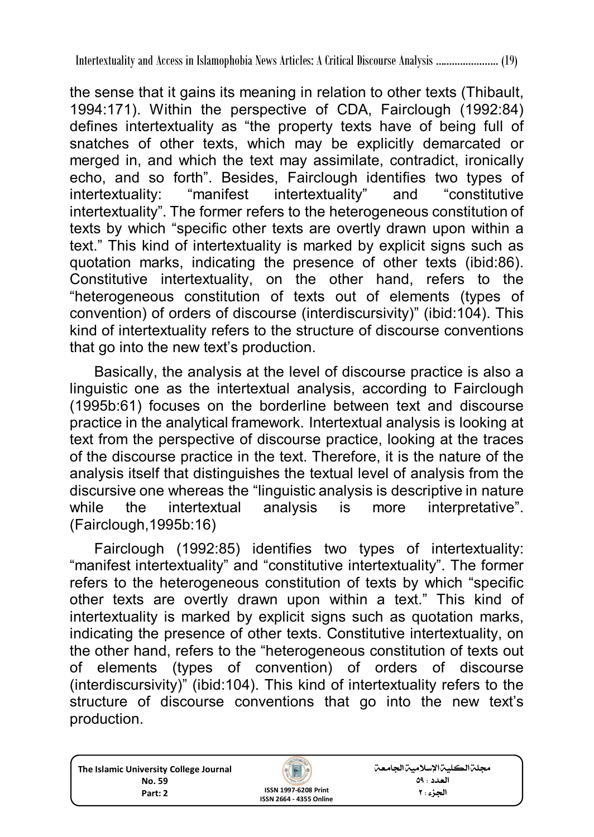the sense that it gains its meaning in relation to other texts (Thibault, 1994:171). Within the perspective of CDA, Fairclough (1992:84) defines intertextuality as "the property texts have of being full of snatches of other texts, which may be explicitly demarcated or merged in, and which the text may assimilate, contradict, ironically echo, and so forth". Besides, Fairclough identifies two types of intertextuality: "manifest intertextuality" and "constitutive intertextuality". The former refers to the heterogeneous constitution of texts by which "specific other texts are overtly drawn upon within a text." This kind of intertextuality is marked by explicit signs such as quotation marks, indicating the presence of other texts (ibid:86). Constitutive intertextuality, on the other hand, refers to the "heterogeneous constitution of texts out of elements (types of convention) of orders of discourse (interdiscursivity)" (ibid:104). This kind of intertextuality refers to the structure of discourse conventions that go into the new text's production.

Basically, the analysis at the level of discourse practice is also a linguistic one as the intertextual analysis, according to Fairclough (1995b:61) focuses on the borderline between text and discourse practice in the analytical framework. Intertextual analysis is looking at text from the perspective of discourse practice, looking at the traces of the discourse practice in the text. Therefore, it is the nature of the analysis itself that distinguishes the textual level of analysis from the discursive one whereas the "linguistic analysis is descriptive in nature while the intertextual analysis is more interpretative". (Fairclough,1995b:16)

Fairclough (1992:85) identifies two types of intertextuality: "manifest intertextuality" and "constitutive intertextuality". The former refers to the heterogeneous constitution of texts by which "specific other texts are overtly drawn upon within a text." This kind of intertextuality is marked by explicit signs such as quotation marks, indicating the presence of other texts. Constitutive intertextuality, on the other hand, refers to the "heterogeneous constitution of texts out of elements (types of convention) of orders of discourse (interdiscursivity)" (ibid:104). This kind of intertextuality refers to the structure of discourse conventions that go into the new text's production.

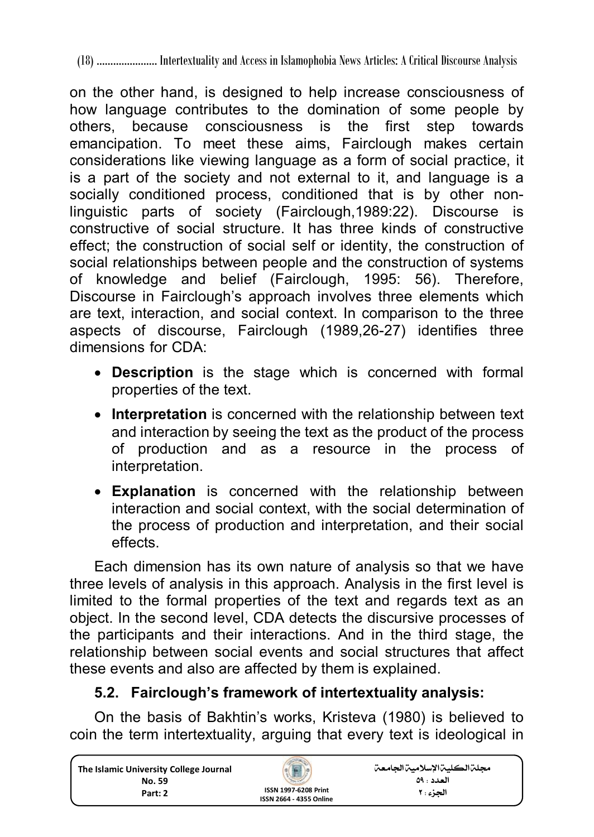on the other hand, is designed to help increase consciousness of how language contributes to the domination of some people by others, because consciousness is the first step towards emancipation. To meet these aims, Fairclough makes certain considerations like viewing language as a form of social practice, it is a part of the society and not external to it, and language is a socially conditioned process, conditioned that is by other nonlinguistic parts of society (Fairclough,1989:22). Discourse is constructive of social structure. It has three kinds of constructive effect; the construction of social self or identity, the construction of social relationships between people and the construction of systems of knowledge and belief (Fairclough, 1995: 56). Therefore, Discourse in Fairclough's approach involves three elements which are text, interaction, and social context. In comparison to the three aspects of discourse, Fairclough (1989,26-27) identifies three dimensions for CDA:

- **Description** is the stage which is concerned with formal properties of the text.
- **Interpretation** is concerned with the relationship between text and interaction by seeing the text as the product of the process of production and as a resource in the process of interpretation.
- **Explanation** is concerned with the relationship between interaction and social context, with the social determination of the process of production and interpretation, and their social effects.

Each dimension has its own nature of analysis so that we have three levels of analysis in this approach. Analysis in the first level is limited to the formal properties of the text and regards text as an object. In the second level, CDA detects the discursive processes of the participants and their interactions. And in the third stage, the relationship between social events and social structures that affect these events and also are affected by them is explained.

## **5.2. Fairclough's framework of intertextuality analysis:**

On the basis of Bakhtin's works, Kristeva (1980) is believed to coin the term intertextuality, arguing that every text is ideological in

| The Islamic University College Journal |                         | مجلن الكلىن الإسلامين الجامعن |
|----------------------------------------|-------------------------|-------------------------------|
| No. 59                                 |                         | العدد : ٥٩                    |
| Part: 2                                | ISSN 1997-6208 Print    | الحزء : ٢                     |
|                                        | ISSN 2664 - 4355 Online |                               |

<sup>(18)</sup> …………….…… Intertextuality and Access in Islamophobia News Articles: A Critical Discourse Analysis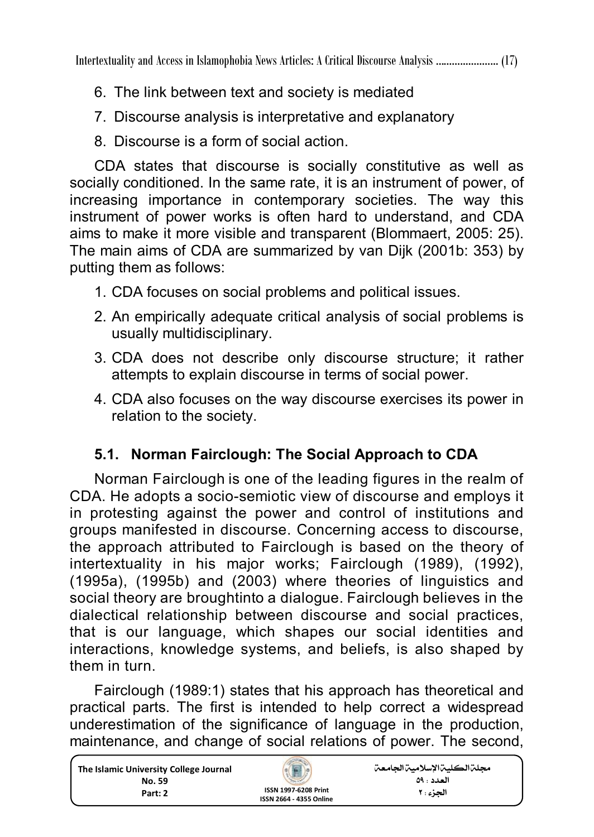- 6. The link between text and society is mediated
- 7. Discourse analysis is interpretative and explanatory
- 8. Discourse is a form of social action.

CDA states that discourse is socially constitutive as well as socially conditioned. In the same rate, it is an instrument of power, of increasing importance in contemporary societies. The way this instrument of power works is often hard to understand, and CDA aims to make it more visible and transparent (Blommaert, 2005: 25). The main aims of CDA are summarized by van Dijk (2001b: 353) by putting them as follows:

- 1. CDA focuses on social problems and political issues.
- 2. An empirically adequate critical analysis of social problems is usually multidisciplinary.
- 3. CDA does not describe only discourse structure; it rather attempts to explain discourse in terms of social power.
- 4. CDA also focuses on the way discourse exercises its power in relation to the society.

## **5.1. Norman Fairclough: The Social Approach to CDA**

Norman Fairclough is one of the leading figures in the realm of CDA. He adopts a socio-semiotic view of discourse and employs it in protesting against the power and control of institutions and groups manifested in discourse. Concerning access to discourse, the approach attributed to Fairclough is based on the theory of intertextuality in his major works; Fairclough (1989), (1992), (1995a), (1995b) and (2003) where theories of linguistics and social theory are broughtinto a dialogue. Fairclough believes in the dialectical relationship between discourse and social practices, that is our language, which shapes our social identities and interactions, knowledge systems, and beliefs, is also shaped by them in turn.

Fairclough (1989:1) states that his approach has theoretical and practical parts. The first is intended to help correct a widespread underestimation of the significance of language in the production, maintenance, and change of social relations of power. The second,

| The Islamic University College Journal<br>No. 59 |                                                 | مجلن الكلبن الإسلامين الجامعن<br>العدد : ٥٩ |
|--------------------------------------------------|-------------------------------------------------|---------------------------------------------|
| Part: 2                                          | ISSN 1997-6208 Print<br>ISSN 2664 - 4355 Online | الحزء : ٢                                   |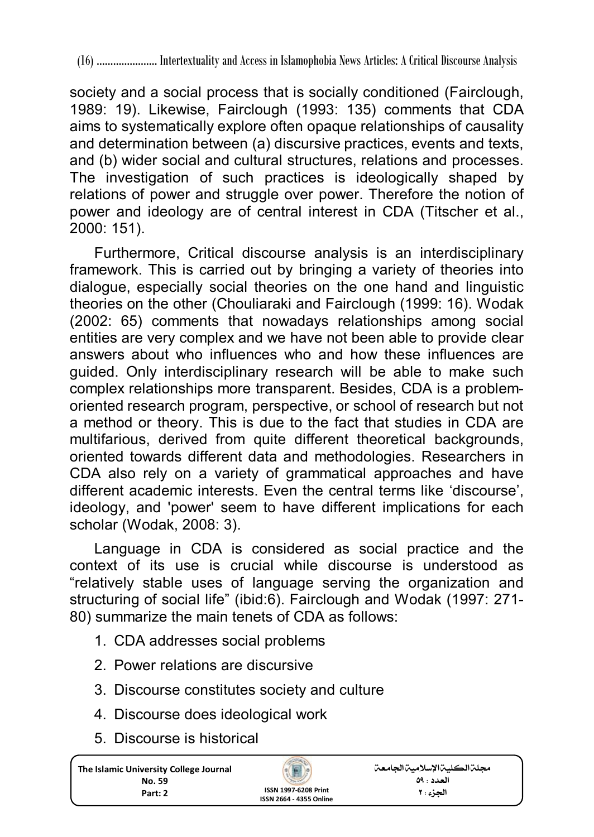(16) …………….…… Intertextuality and Access in Islamophobia News Articles: A Critical Discourse Analysis

society and a social process that is socially conditioned (Fairclough, 1989: 19). Likewise, Fairclough (1993: 135) comments that CDA aims to systematically explore often opaque relationships of causality and determination between (a) discursive practices, events and texts, and (b) wider social and cultural structures, relations and processes. The investigation of such practices is ideologically shaped by relations of power and struggle over power. Therefore the notion of power and ideology are of central interest in CDA (Titscher et al., 2000: 151).

Furthermore, Critical discourse analysis is an interdisciplinary framework. This is carried out by bringing a variety of theories into dialogue, especially social theories on the one hand and linguistic theories on the other (Chouliaraki and Fairclough (1999: 16). Wodak (2002: 65) comments that nowadays relationships among social entities are very complex and we have not been able to provide clear answers about who influences who and how these influences are guided. Only interdisciplinary research will be able to make such complex relationships more transparent. Besides, CDA is a problemoriented research program, perspective, or school of research but not a method or theory. This is due to the fact that studies in CDA are multifarious, derived from quite different theoretical backgrounds, oriented towards different data and methodologies. Researchers in CDA also rely on a variety of grammatical approaches and have different academic interests. Even the central terms like 'discourse', ideology, and 'power' seem to have different implications for each scholar (Wodak, 2008: 3).

Language in CDA is considered as social practice and the context of its use is crucial while discourse is understood as "relatively stable uses of language serving the organization and structuring of social life" (ibid:6). Fairclough and Wodak (1997: 271- 80) summarize the main tenets of CDA as follows:

- 1. CDA addresses social problems
- 2. Power relations are discursive
- 3. Discourse constitutes society and culture
- 4. Discourse does ideological work
- 5. Discourse is historical

| L<br>The Islamic University College Journal |  |
|---------------------------------------------|--|
| No. 59                                      |  |
| Part: 2                                     |  |

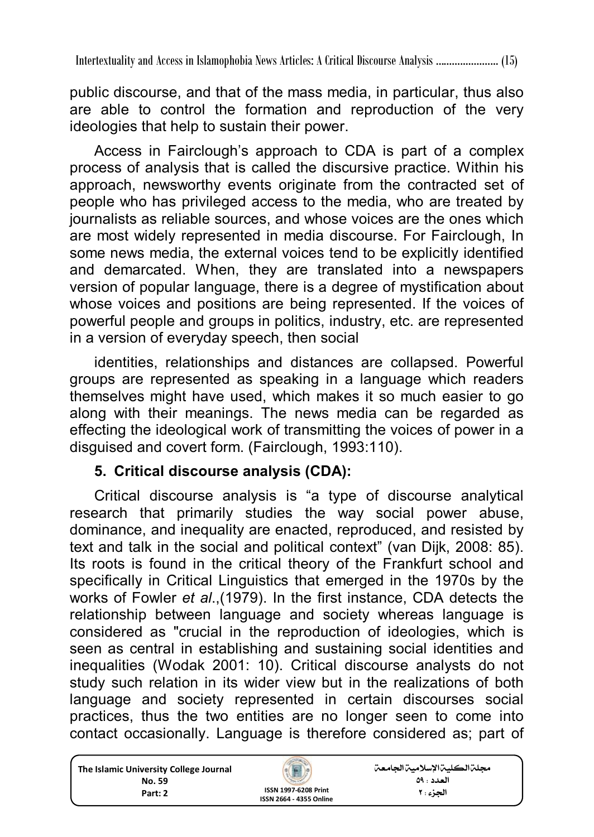Intertextuality and Access in Islamophobia News Articles: A Critical Discourse Analysis ………..………... (15)

public discourse, and that of the mass media, in particular, thus also are able to control the formation and reproduction of the very ideologies that help to sustain their power.

Access in Fairclough's approach to CDA is part of a complex process of analysis that is called the discursive practice. Within his approach, newsworthy events originate from the contracted set of people who has privileged access to the media, who are treated by journalists as reliable sources, and whose voices are the ones which are most widely represented in media discourse. For Fairclough, In some news media, the external voices tend to be explicitly identified and demarcated. When, they are translated into a newspapers version of popular language, there is a degree of mystification about whose voices and positions are being represented. If the voices of powerful people and groups in politics, industry, etc. are represented in a version of everyday speech, then social

identities, relationships and distances are collapsed. Powerful groups are represented as speaking in a language which readers themselves might have used, which makes it so much easier to go along with their meanings. The news media can be regarded as effecting the ideological work of transmitting the voices of power in a disguised and covert form. (Fairclough, 1993:110).

#### **5. Critical discourse analysis (CDA):**

Critical discourse analysis is "a type of discourse analytical research that primarily studies the way social power abuse, dominance, and inequality are enacted, reproduced, and resisted by text and talk in the social and political context" (van Dijk, 2008: 85). Its roots is found in the critical theory of the Frankfurt school and specifically in Critical Linguistics that emerged in the 1970s by the works of Fowler *et al*.,(1979). In the first instance, CDA detects the relationship between language and society whereas language is considered as "crucial in the reproduction of ideologies, which is seen as central in establishing and sustaining social identities and inequalities (Wodak 2001: 10). Critical discourse analysts do not study such relation in its wider view but in the realizations of both language and society represented in certain discourses social practices, thus the two entities are no longer seen to come into contact occasionally. Language is therefore considered as; part of

| L<br>The Islamic University College Journal |
|---------------------------------------------|
| No. 59                                      |
| Part: 2                                     |

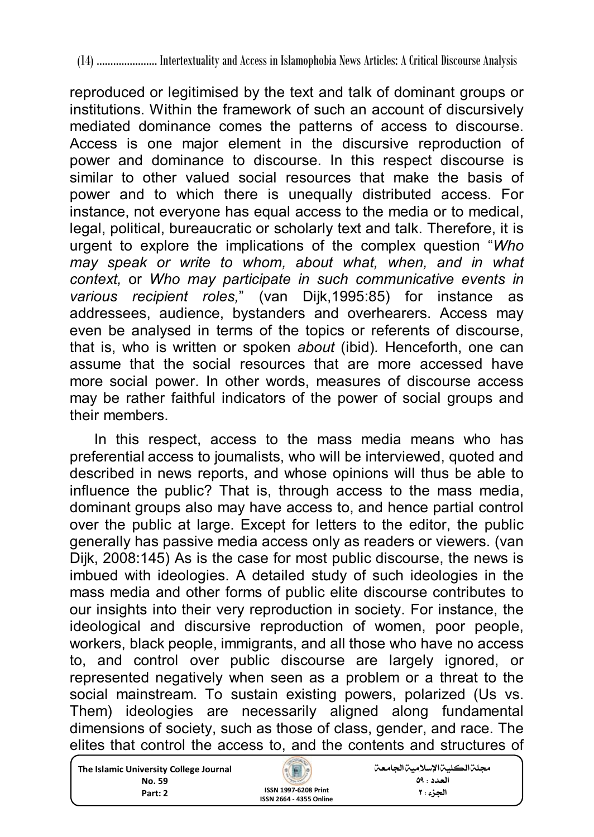reproduced or legitimised by the text and talk of dominant groups or institutions. Within the framework of such an account of discursively mediated dominance comes the patterns of access to discourse. Access is one major element in the discursive reproduction of power and dominance to discourse. In this respect discourse is similar to other valued social resources that make the basis of power and to which there is unequally distributed access. For instance, not everyone has equal access to the media or to medical, legal, political, bureaucratic or scholarly text and talk. Therefore, it is urgent to explore the implications of the complex question "*Who may speak or write to whom, about what, when, and in what context,* or *Who may participate in such communicative events in various recipient roles,*" (van Dijk,1995:85) for instance as addressees, audience, bystanders and overhearers. Access may even be analysed in terms of the topics or referents of discourse, that is, who is written or spoken *about* (ibid)*.* Henceforth, one can assume that the social resources that are more accessed have more social power. In other words, measures of discourse access may be rather faithful indicators of the power of social groups and their members.

In this respect, access to the mass media means who has preferential access to joumalists, who will be interviewed, quoted and described in news reports, and whose opinions will thus be able to influence the public? That is, through access to the mass media, dominant groups also may have access to, and hence partial control over the public at large. Except for letters to the editor, the public generally has passive media access only as readers or viewers. (van Dijk, 2008:145) As is the case for most public discourse, the news is imbued with ideologies. A detailed study of such ideologies in the mass media and other forms of public elite discourse contributes to our insights into their very reproduction in society. For instance, the ideological and discursive reproduction of women, poor people, workers, black people, immigrants, and all those who have no access to, and control over public discourse are largely ignored, or represented negatively when seen as a problem or a threat to the social mainstream. To sustain existing powers, polarized (Us vs. Them) ideologies are necessarily aligned along fundamental dimensions of society, such as those of class, gender, and race. The elites that control the access to, and the contents and structures of



<sup>(14)</sup> …………….…… Intertextuality and Access in Islamophobia News Articles: A Critical Discourse Analysis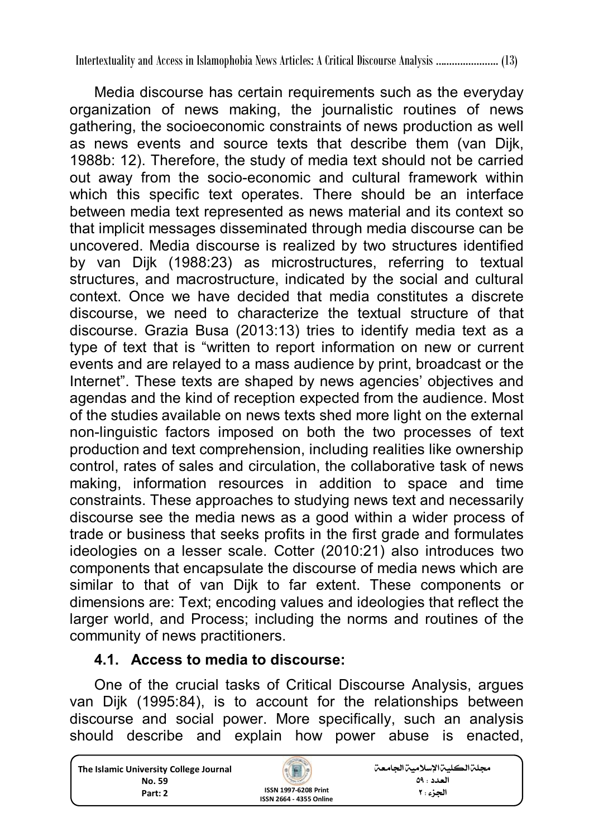Intertextuality and Access in Islamophobia News Articles: A Critical Discourse Analysis ………..………... (13)

Media discourse has certain requirements such as the everyday organization of news making, the journalistic routines of news gathering, the socioeconomic constraints of news production as well as news events and source texts that describe them (van Dijk, 1988b: 12). Therefore, the study of media text should not be carried out away from the socio-economic and cultural framework within which this specific text operates. There should be an interface between media text represented as news material and its context so that implicit messages disseminated through media discourse can be uncovered. Media discourse is realized by two structures identified by van Dijk (1988:23) as microstructures, referring to textual structures, and macrostructure, indicated by the social and cultural context. Once we have decided that media constitutes a discrete discourse, we need to characterize the textual structure of that discourse. Grazia Busa (2013:13) tries to identify media text as a type of text that is "written to report information on new or current events and are relayed to a mass audience by print, broadcast or the Internet". These texts are shaped by news agencies' objectives and agendas and the kind of reception expected from the audience. Most of the studies available on news texts shed more light on the external non-linguistic factors imposed on both the two processes of text production and text comprehension, including realities like ownership control, rates of sales and circulation, the collaborative task of news making, information resources in addition to space and time constraints. These approaches to studying news text and necessarily discourse see the media news as a good within a wider process of trade or business that seeks profits in the first grade and formulates ideologies on a lesser scale. Cotter (2010:21) also introduces two components that encapsulate the discourse of media news which are similar to that of van Dijk to far extent. These components or dimensions are: Text; encoding values and ideologies that reflect the larger world, and Process; including the norms and routines of the community of news practitioners.

#### **4.1. Access to media to discourse:**

One of the crucial tasks of Critical Discourse Analysis, argues van Dijk (1995:84), is to account for the relationships between discourse and social power. More specifically, such an analysis should describe and explain how power abuse is enacted,

| The Islamic University College Journal<br>No. 59 |                                                 | مجلن الكلين الإسلامين الجامعن<br>العدد : ٥٩ |
|--------------------------------------------------|-------------------------------------------------|---------------------------------------------|
| Part: 2                                          | ISSN 1997-6208 Print<br>ISSN 2664 - 4355 Online | الجزء : ٢                                   |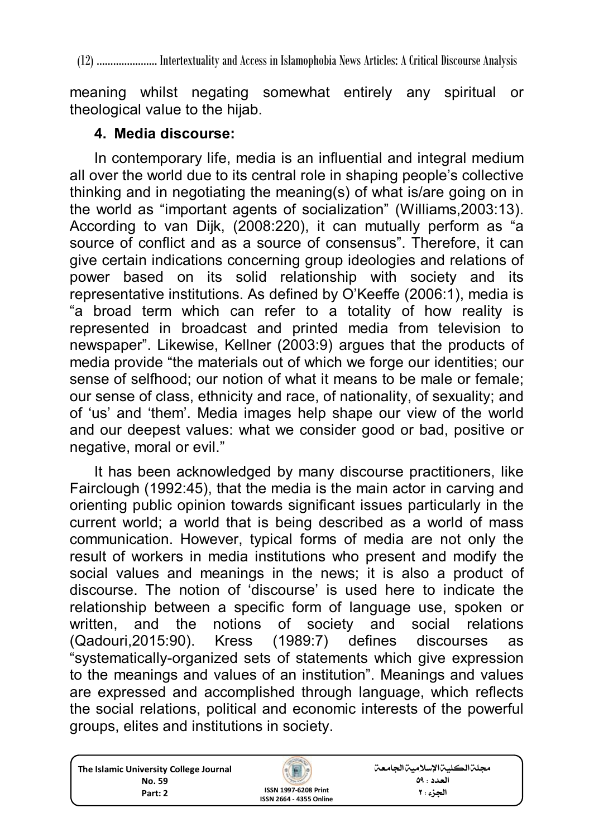(12) …………….…… Intertextuality and Access in Islamophobia News Articles: A Critical Discourse Analysis

meaning whilst negating somewhat entirely any spiritual or theological value to the hijab.

#### **4. Media discourse:**

In contemporary life, media is an influential and integral medium all over the world due to its central role in shaping people's collective thinking and in negotiating the meaning(s) of what is/are going on in the world as "important agents of socialization" (Williams,2003:13). According to van Dijk, (2008:220), it can mutually perform as "a source of conflict and as a source of consensus". Therefore, it can give certain indications concerning group ideologies and relations of power based on its solid relationship with society and its representative institutions. As defined by O'Keeffe (2006:1), media is "a broad term which can refer to a totality of how reality is represented in broadcast and printed media from television to newspaper". Likewise, Kellner (2003:9) argues that the products of media provide "the materials out of which we forge our identities; our sense of selfhood; our notion of what it means to be male or female; our sense of class, ethnicity and race, of nationality, of sexuality; and of 'us' and 'them'. Media images help shape our view of the world and our deepest values: what we consider good or bad, positive or negative, moral or evil."

It has been acknowledged by many discourse practitioners, like Fairclough (1992:45), that the media is the main actor in carving and orienting public opinion towards significant issues particularly in the current world; a world that is being described as a world of mass communication. However, typical forms of media are not only the result of workers in media institutions who present and modify the social values and meanings in the news; it is also a product of discourse. The notion of 'discourse' is used here to indicate the relationship between a specific form of language use, spoken or written, and the notions of society and social relations (Qadouri,2015:90). Kress (1989:7) defines discourses as "systematically-organized sets of statements which give expression to the meanings and values of an institution". Meanings and values are expressed and accomplished through language, which reflects the social relations, political and economic interests of the powerful groups, elites and institutions in society.

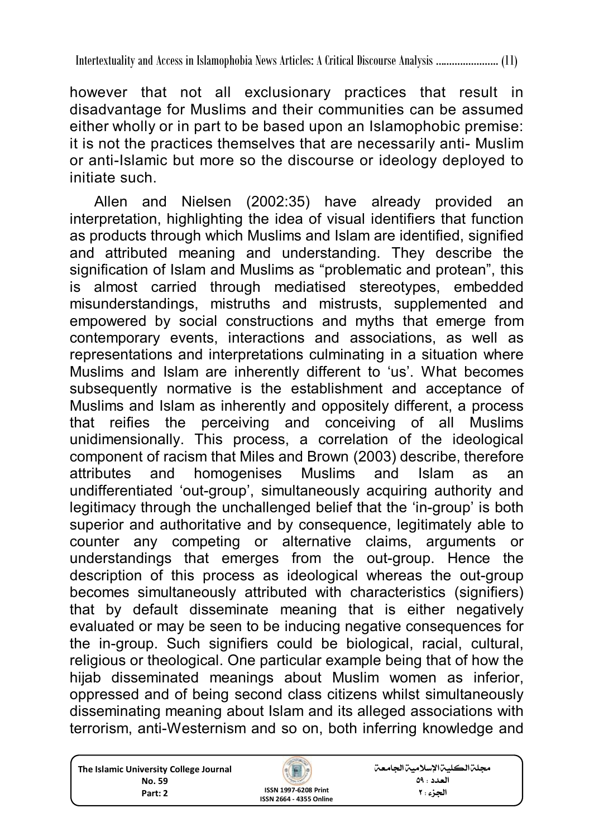Intertextuality and Access in Islamophobia News Articles: A Critical Discourse Analysis ………..………... (11)

however that not all exclusionary practices that result in disadvantage for Muslims and their communities can be assumed either wholly or in part to be based upon an Islamophobic premise: it is not the practices themselves that are necessarily anti- Muslim or anti-Islamic but more so the discourse or ideology deployed to initiate such.

Allen and Nielsen (2002:35) have already provided an interpretation, highlighting the idea of visual identifiers that function as products through which Muslims and Islam are identified, signified and attributed meaning and understanding. They describe the signification of Islam and Muslims as "problematic and protean", this is almost carried through mediatised stereotypes, embedded misunderstandings, mistruths and mistrusts, supplemented and empowered by social constructions and myths that emerge from contemporary events, interactions and associations, as well as representations and interpretations culminating in a situation where Muslims and Islam are inherently different to 'us'. What becomes subsequently normative is the establishment and acceptance of Muslims and Islam as inherently and oppositely different, a process that reifies the perceiving and conceiving of all Muslims unidimensionally. This process, a correlation of the ideological component of racism that Miles and Brown (2003) describe, therefore attributes and homogenises Muslims and Islam as an undifferentiated 'out-group', simultaneously acquiring authority and legitimacy through the unchallenged belief that the 'in-group' is both superior and authoritative and by consequence, legitimately able to counter any competing or alternative claims, arguments or understandings that emerges from the out-group. Hence the description of this process as ideological whereas the out-group becomes simultaneously attributed with characteristics (signifiers) that by default disseminate meaning that is either negatively evaluated or may be seen to be inducing negative consequences for the in-group. Such signifiers could be biological, racial, cultural, religious or theological. One particular example being that of how the hijab disseminated meanings about Muslim women as inferior, oppressed and of being second class citizens whilst simultaneously disseminating meaning about Islam and its alleged associations with terrorism, anti-Westernism and so on, both inferring knowledge and

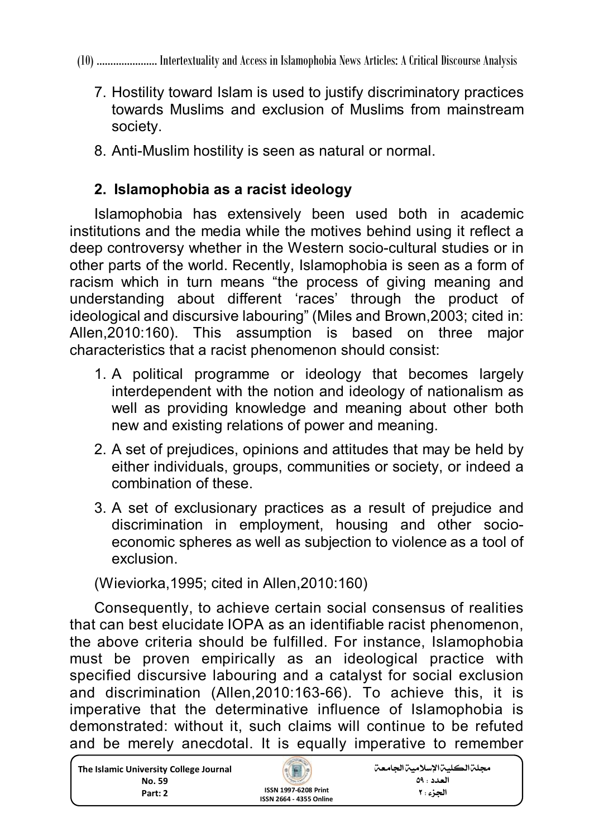- 7. Hostility toward Islam is used to justify discriminatory practices towards Muslims and exclusion of Muslims from mainstream society.
- 8. Anti-Muslim hostility is seen as natural or normal.

## **2. Islamophobia as a racist ideology**

Islamophobia has extensively been used both in academic institutions and the media while the motives behind using it reflect a deep controversy whether in the Western socio-cultural studies or in other parts of the world. Recently, Islamophobia is seen as a form of racism which in turn means "the process of giving meaning and understanding about different 'races' through the product of ideological and discursive labouring" (Miles and Brown,2003; cited in: Allen,2010:160). This assumption is based on three major characteristics that a racist phenomenon should consist:

- 1. A political programme or ideology that becomes largely interdependent with the notion and ideology of nationalism as well as providing knowledge and meaning about other both new and existing relations of power and meaning.
- 2. A set of prejudices, opinions and attitudes that may be held by either individuals, groups, communities or society, or indeed a combination of these.
- 3. A set of exclusionary practices as a result of prejudice and discrimination in employment, housing and other socioeconomic spheres as well as subjection to violence as a tool of exclusion.

(Wieviorka,1995; cited in Allen,2010:160)

Consequently, to achieve certain social consensus of realities that can best elucidate IOPA as an identifiable racist phenomenon, the above criteria should be fulfilled. For instance, Islamophobia must be proven empirically as an ideological practice with specified discursive labouring and a catalyst for social exclusion and discrimination (Allen,2010:163-66). To achieve this, it is imperative that the determinative influence of Islamophobia is demonstrated: without it, such claims will continue to be refuted and be merely anecdotal. It is equally imperative to remember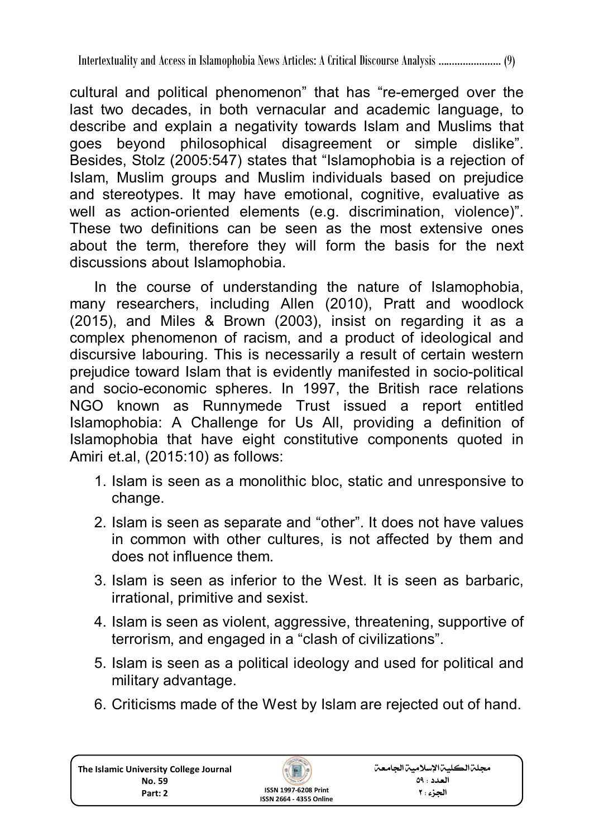Intertextuality and Access in Islamophobia News Articles: A Critical Discourse Analysis ………..………... (9)

cultural and political phenomenon" that has "re-emerged over the last two decades, in both vernacular and academic language, to describe and explain a negativity towards Islam and Muslims that goes beyond philosophical disagreement or simple dislike". Besides, Stolz (2005:547) states that "Islamophobia is a rejection of Islam, Muslim groups and Muslim individuals based on prejudice and stereotypes. It may have emotional, cognitive, evaluative as well as action-oriented elements (e.g. discrimination, violence)". These two definitions can be seen as the most extensive ones about the term, therefore they will form the basis for the next discussions about Islamophobia.

In the course of understanding the nature of Islamophobia, many researchers, including Allen (2010), Pratt and woodlock (2015), and Miles & Brown (2003), insist on regarding it as a complex phenomenon of racism, and a product of ideological and discursive labouring. This is necessarily a result of certain western prejudice toward Islam that is evidently manifested in socio-political and socio-economic spheres. In 1997, the British race relations NGO known as Runnymede Trust issued a report entitled Islamophobia: A Challenge for Us All, providing a definition of Islamophobia that have eight constitutive components quoted in Amiri et.al, (2015:10) as follows:

- 1. Islam is seen as a monolithic bloc, static and unresponsive to change.
- 2. Islam is seen as separate and "other". It does not have values in common with other cultures, is not affected by them and does not influence them.
- 3. Islam is seen as inferior to the West. It is seen as barbaric, irrational, primitive and sexist.
- 4. Islam is seen as violent, aggressive, threatening, supportive of terrorism, and engaged in a "clash of civilizations".
- 5. Islam is seen as a political ideology and used for political and military advantage.
- 6. Criticisms made of the West by Islam are rejected out of hand.

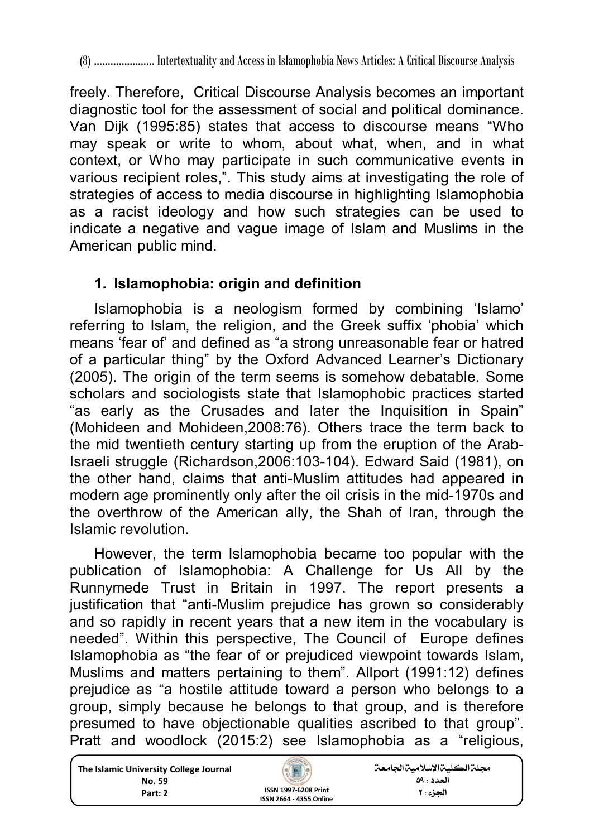(8) …………….…… Intertextuality and Access in Islamophobia News Articles: A Critical Discourse Analysis

freely. Therefore, Critical Discourse Analysis becomes an important diagnostic tool for the assessment of social and political dominance. Van Dijk (1995:85) states that access to discourse means "Who may speak or write to whom, about what, when, and in what context, or Who may participate in such communicative events in various recipient roles,". This study aims at investigating the role of strategies of access to media discourse in highlighting Islamophobia as a racist ideology and how such strategies can be used to indicate a negative and vague image of Islam and Muslims in the American public mind.

#### **1. Islamophobia: origin and definition**

Islamophobia is a neologism formed by combining 'Islamo' referring to Islam, the religion, and the Greek suffix 'phobia' which means 'fear of' and defined as "a strong unreasonable fear or hatred of a particular thing" by the Oxford Advanced Learner's Dictionary (2005). The origin of the term seems is somehow debatable. Some scholars and sociologists state that Islamophobic practices started "as early as the Crusades and later the Inquisition in Spain" (Mohideen and Mohideen,2008:76). Others trace the term back to the mid twentieth century starting up from the eruption of the Arab-Israeli struggle (Richardson,2006:103-104). Edward Said (1981), on the other hand, claims that anti-Muslim attitudes had appeared in modern age prominently only after the oil crisis in the mid-1970s and the overthrow of the American ally, the Shah of Iran, through the Islamic revolution.

However, the term Islamophobia became too popular with the publication of Islamophobia: A Challenge for Us All by the Runnymede Trust in Britain in 1997. The report presents a justification that "anti-Muslim prejudice has grown so considerably and so rapidly in recent years that a new item in the vocabulary is needed". Within this perspective, The Council of Europe defines Islamophobia as "the fear of or prejudiced viewpoint towards Islam, Muslims and matters pertaining to them". Allport (1991:12) defines prejudice as "a hostile attitude toward a person who belongs to a group, simply because he belongs to that group, and is therefore presumed to have objectionable qualities ascribed to that group". Pratt and woodlock (2015:2) see Islamophobia as a "religious,

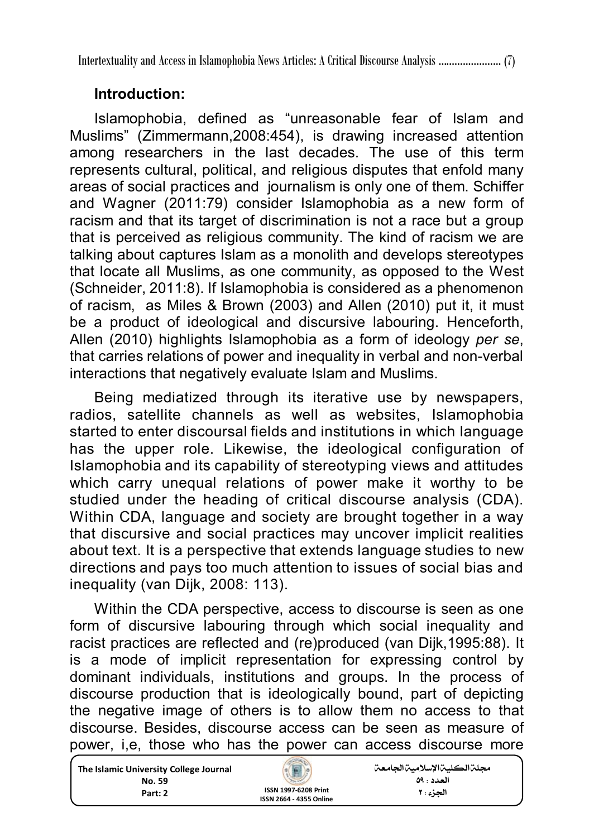Intertextuality and Access in Islamophobia News Articles: A Critical Discourse Analysis ………..………... (7)

#### **Introduction:**

Islamophobia, defined as "unreasonable fear of Islam and Muslims" (Zimmermann,2008:454), is drawing increased attention among researchers in the last decades. The use of this term represents cultural, political, and religious disputes that enfold many areas of social practices and journalism is only one of them. Schiffer and Wagner (2011:79) consider Islamophobia as a new form of racism and that its target of discrimination is not a race but a group that is perceived as religious community. The kind of racism we are talking about captures Islam as a monolith and develops stereotypes that locate all Muslims, as one community, as opposed to the West (Schneider, 2011:8). If Islamophobia is considered as a phenomenon of racism, as Miles & Brown (2003) and Allen (2010) put it, it must be a product of ideological and discursive labouring. Henceforth, Allen (2010) highlights Islamophobia as a form of ideology *per se*, that carries relations of power and inequality in verbal and non-verbal interactions that negatively evaluate Islam and Muslims.

Being mediatized through its iterative use by newspapers, radios, satellite channels as well as websites, Islamophobia started to enter discoursal fields and institutions in which language has the upper role. Likewise, the ideological configuration of Islamophobia and its capability of stereotyping views and attitudes which carry unequal relations of power make it worthy to be studied under the heading of critical discourse analysis (CDA). Within CDA, language and society are brought together in a way that discursive and social practices may uncover implicit realities about text. It is a perspective that extends language studies to new directions and pays too much attention to issues of social bias and inequality (van Dijk, 2008: 113).

Within the CDA perspective, access to discourse is seen as one form of discursive labouring through which social inequality and racist practices are reflected and (re)produced (van Dijk,1995:88). It is a mode of implicit representation for expressing control by dominant individuals, institutions and groups. In the process of discourse production that is ideologically bound, part of depicting the negative image of others is to allow them no access to that discourse. Besides, discourse access can be seen as measure of power, i,e, those who has the power can access discourse more

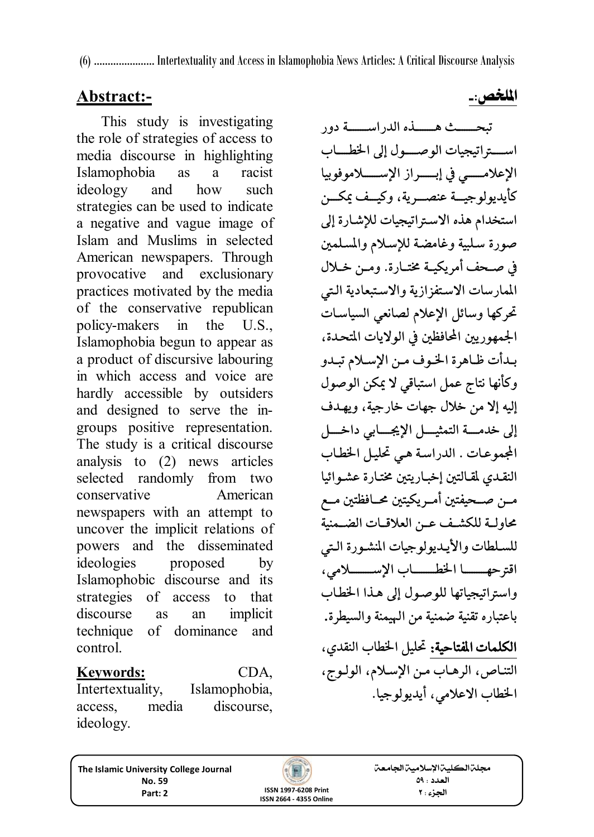(6) …………….…… Intertextuality and Access in Islamophobia News Articles: A Critical Discourse Analysis

## **Abstract:-**

This study is investigating the role of strategies of access to media discourse in highlighting Islamophobia as a racist ideology and how such strategies can be used to indicate a negative and vague image of Islam and Muslims in selected American newspapers. Through provocative and exclusionary practices motivated by the media of the conservative republican policy-makers in the U.S., Islamophobia begun to appear as a product of discursive labouring in which access and voice are hardly accessible by outsiders and designed to serve the ingroups positive representation. The study is a critical discourse analysis to (2) news articles selected randomly from two conservative American newspapers with an attempt to uncover the implicit relations of powers and the disseminated ideologies proposed by Islamophobic discourse and its strategies of access to that discourse as an implicit technique of dominance and control.

**Keywords:** CDA, Intertextuality, Islamophobia, access, media discourse, ideology.

 است اتيجيات الوصب ول إلى الخطساب الإعلامسي في إبسراز الإسسلاموفوبيا كأيديولوجيسة عنصب ية، وكيسف ممكسن استخدام هذه الاستراتيجيات للإشارة إلى صورة سلبية وغامضة للإسلام والمسلمين في صحف أمريكيـة مختـارة. ومـن خــلال الممارسات الاستفزازية والاستبعادية التي تحركها وسائل الإعلام لصانعي السياسات الجمهوريين المحافظين في الولايات المتحدة، ببدأت ظاهرة الخوف مين الإسلام تبيدو وكأنها نتاج عمل استباقى لا يمكن الوصول إليه إلا من خلال جهات خارجية، ويهدف إلى خدمسة التمثيل الإيجسابي داخسل المجموعات . الدراسة هي تحليل الخطاب النقدى لمقالتين إخباريتين مختارة عشوائيا مــن صــحيفتين أمــر يكيتين محــافظتين مــع محاولية للكشيف عين العلاقيات الضيمنية للسلطات والأيديولوجيات المنشورة التى اقترحهـــا الخطـــاب الإســــلامي، واستراتيجياتها للوصول إلى هذا الخطاب باعتبار ه تقنية ضمنية من البيمنة والسيطرة. الكلمات المفتاحية: تحليل الخطاب النقدي، التناص، الرهاب من الإسلام، الولوج،

**الملخص:۔** 

 **The Islamic University College Journal No. 59 Part: 2**



الخطاب الاعلامي، أيديولوجيا.